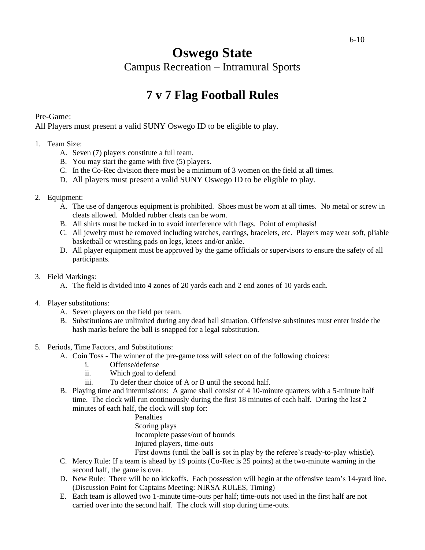## **Oswego State**  Campus Recreation – Intramural Sports

# **7 v 7 Flag Football Rules**

#### Pre-Game:

All Players must present a valid SUNY Oswego ID to be eligible to play.

#### 1. Team Size:

- A. Seven (7) players constitute a full team.
- B. You may start the game with five (5) players.
- C. In the Co-Rec division there must be a minimum of 3 women on the field at all times.
- D. All players must present a valid SUNY Oswego ID to be eligible to play.

#### 2. Equipment:

- A. The use of dangerous equipment is prohibited. Shoes must be worn at all times. No metal or screw in cleats allowed. Molded rubber cleats can be worn.
- B. All shirts must be tucked in to avoid interference with flags. Point of emphasis!
- C. All jewelry must be removed including watches, earrings, bracelets, etc. Players may wear soft, pliable basketball or wrestling pads on legs, knees and/or ankle.
- D. All player equipment must be approved by the game officials or supervisors to ensure the safety of all participants.

#### 3. Field Markings:

- A. The field is divided into 4 zones of 20 yards each and 2 end zones of 10 yards each.
- 4. Player substitutions:
	- A. Seven players on the field per team.
	- B. Substitutions are unlimited during any dead ball situation. Offensive substitutes must enter inside the hash marks before the ball is snapped for a legal substitution.
- 5. Periods, Time Factors, and Substitutions:
	- A. Coin Toss The winner of the pre-game toss will select on of the following choices:
		- i. Offense/defense
		- ii. Which goal to defend
		- iii. To defer their choice of A or B until the second half.
	- B. Playing time and intermissions: A game shall consist of 4 10-minute quarters with a 5-minute half time. The clock will run continuously during the first 18 minutes of each half. During the last 2 minutes of each half, the clock will stop for:

Penalties Scoring plays Incomplete passes/out of bounds Injured players, time-outs

First downs (until the ball is set in play by the referee's ready-to-play whistle). C. Mercy Rule: If a team is ahead by 19 points (Co-Rec is 25 points) at the two-minute warning in the

second half, the game is over.

- D. New Rule: There will be no kickoffs. Each possession will begin at the offensive team's 14-yard line. (Discussion Point for Captains Meeting: NIRSA RULES, Timing)
- E. Each team is allowed two 1-minute time-outs per half; time-outs not used in the first half are not carried over into the second half. The clock will stop during time-outs.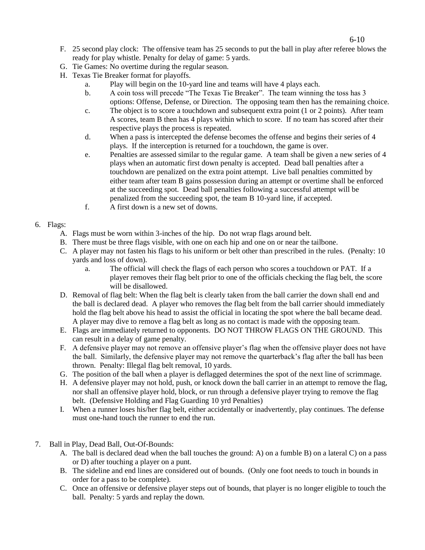- F. 25 second play clock: The offensive team has 25 seconds to put the ball in play after referee blows the ready for play whistle. Penalty for delay of game: 5 yards.
- G. Tie Games: No overtime during the regular season.
- H. Texas Tie Breaker format for playoffs.
	- a. Play will begin on the 10-yard line and teams will have 4 plays each.
	- b. A coin toss will precede "The Texas Tie Breaker". The team winning the toss has 3 options: Offense, Defense, or Direction. The opposing team then has the remaining choice.
	- c. The object is to score a touchdown and subsequent extra point (1 or 2 points). After team A scores, team B then has 4 plays within which to score. If no team has scored after their respective plays the process is repeated.
	- d. When a pass is intercepted the defense becomes the offense and begins their series of 4 plays. If the interception is returned for a touchdown, the game is over.
	- e. Penalties are assessed similar to the regular game. A team shall be given a new series of 4 plays when an automatic first down penalty is accepted. Dead ball penalties after a touchdown are penalized on the extra point attempt. Live ball penalties committed by either team after team B gains possession during an attempt or overtime shall be enforced at the succeeding spot. Dead ball penalties following a successful attempt will be penalized from the succeeding spot, the team B 10-yard line, if accepted.
	- f. A first down is a new set of downs.
- 6. Flags:
	- A. Flags must be worn within 3-inches of the hip. Do not wrap flags around belt.
	- B. There must be three flags visible, with one on each hip and one on or near the tailbone.
	- C. A player may not fasten his flags to his uniform or belt other than prescribed in the rules. (Penalty: 10 yards and loss of down).
		- a. The official will check the flags of each person who scores a touchdown or PAT. If a player removes their flag belt prior to one of the officials checking the flag belt, the score will be disallowed.
	- D. Removal of flag belt: When the flag belt is clearly taken from the ball carrier the down shall end and the ball is declared dead. A player who removes the flag belt from the ball carrier should immediately hold the flag belt above his head to assist the official in locating the spot where the ball became dead. A player may dive to remove a flag belt as long as no contact is made with the opposing team.
	- E. Flags are immediately returned to opponents. DO NOT THROW FLAGS ON THE GROUND. This can result in a delay of game penalty.
	- F. A defensive player may not remove an offensive player's flag when the offensive player does not have the ball. Similarly, the defensive player may not remove the quarterback's flag after the ball has been thrown. Penalty: Illegal flag belt removal, 10 yards.
	- G. The position of the ball when a player is deflagged determines the spot of the next line of scrimmage.
	- H. A defensive player may not hold, push, or knock down the ball carrier in an attempt to remove the flag, nor shall an offensive player hold, block, or run through a defensive player trying to remove the flag belt. (Defensive Holding and Flag Guarding 10 yrd Penalties)
	- I. When a runner loses his/her flag belt, either accidentally or inadvertently, play continues. The defense must one-hand touch the runner to end the run.
- 7. Ball in Play, Dead Ball, Out-Of-Bounds:
	- A. The ball is declared dead when the ball touches the ground: A) on a fumble B) on a lateral C) on a pass or D) after touching a player on a punt.
	- B. The sideline and end lines are considered out of bounds. (Only one foot needs to touch in bounds in order for a pass to be complete).
	- C. Once an offensive or defensive player steps out of bounds, that player is no longer eligible to touch the ball. Penalty: 5 yards and replay the down.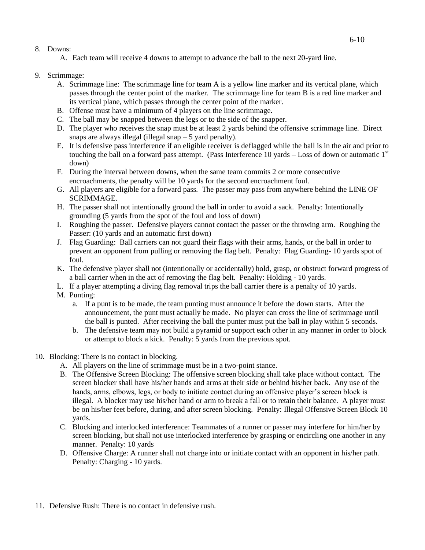#### 8. Downs:

A. Each team will receive 4 downs to attempt to advance the ball to the next 20-yard line.

- 9. Scrimmage:
	- A. Scrimmage line: The scrimmage line for team A is a yellow line marker and its vertical plane, which passes through the center point of the marker. The scrimmage line for team B is a red line marker and its vertical plane, which passes through the center point of the marker.
	- B. Offense must have a minimum of 4 players on the line scrimmage.
	- C. The ball may be snapped between the legs or to the side of the snapper.
	- D. The player who receives the snap must be at least 2 yards behind the offensive scrimmage line. Direct snaps are always illegal (illegal snap  $-5$  yard penalty).
	- E. It is defensive pass interference if an eligible receiver is deflagged while the ball is in the air and prior to touching the ball on a forward pass attempt. (Pass Interference 10 yards  $-$  Loss of down or automatic  $1<sup>st</sup>$ down)
	- F. During the interval between downs, when the same team commits 2 or more consecutive encroachments, the penalty will be 10 yards for the second encroachment foul.
	- G. All players are eligible for a forward pass. The passer may pass from anywhere behind the LINE OF SCRIMMAGE.
	- H. The passer shall not intentionally ground the ball in order to avoid a sack. Penalty: Intentionally grounding (5 yards from the spot of the foul and loss of down)
	- I. Roughing the passer. Defensive players cannot contact the passer or the throwing arm. Roughing the Passer: (10 yards and an automatic first down)
	- J. Flag Guarding: Ball carriers can not guard their flags with their arms, hands, or the ball in order to prevent an opponent from pulling or removing the flag belt. Penalty: Flag Guarding- 10 yards spot of foul.
	- K. The defensive player shall not (intentionally or accidentally) hold, grasp, or obstruct forward progress of a ball carrier when in the act of removing the flag belt. Penalty: Holding - 10 yards.
	- L. If a player attempting a diving flag removal trips the ball carrier there is a penalty of 10 yards.
	- M. Punting:
		- a. If a punt is to be made, the team punting must announce it before the down starts. After the announcement, the punt must actually be made. No player can cross the line of scrimmage until the ball is punted. After receiving the ball the punter must put the ball in play within 5 seconds.
		- b. The defensive team may not build a pyramid or support each other in any manner in order to block or attempt to block a kick. Penalty: 5 yards from the previous spot.
- 10. Blocking: There is no contact in blocking.
	- A. All players on the line of scrimmage must be in a two-point stance.
	- B. The Offensive Screen Blocking: The offensive screen blocking shall take place without contact. The screen blocker shall have his/her hands and arms at their side or behind his/her back. Any use of the hands, arms, elbows, legs, or body to initiate contact during an offensive player's screen block is illegal. A blocker may use his/her hand or arm to break a fall or to retain their balance. A player must be on his/her feet before, during, and after screen blocking. Penalty: Illegal Offensive Screen Block 10 yards.
	- C. Blocking and interlocked interference: Teammates of a runner or passer may interfere for him/her by screen blocking, but shall not use interlocked interference by grasping or encircling one another in any manner. Penalty: 10 yards
	- D. Offensive Charge: A runner shall not charge into or initiate contact with an opponent in his/her path. Penalty: Charging - 10 yards.
- 11. Defensive Rush: There is no contact in defensive rush.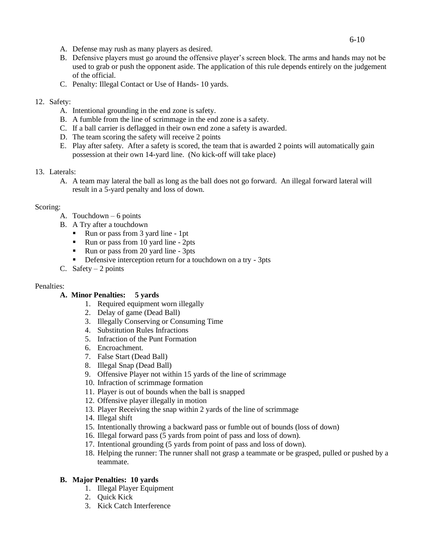- A. Defense may rush as many players as desired.
- B. Defensive players must go around the offensive player's screen block. The arms and hands may not be used to grab or push the opponent aside. The application of this rule depends entirely on the judgement of the official.
- C. Penalty: Illegal Contact or Use of Hands- 10 yards.

#### 12. Safety:

- A. Intentional grounding in the end zone is safety.
- B. A fumble from the line of scrimmage in the end zone is a safety.
- C. If a ball carrier is deflagged in their own end zone a safety is awarded.
- D. The team scoring the safety will receive 2 points
- E. Play after safety. After a safety is scored, the team that is awarded 2 points will automatically gain possession at their own 14-yard line. (No kick-off will take place)

## 13. Laterals:

A. A team may lateral the ball as long as the ball does not go forward. An illegal forward lateral will result in a 5-yard penalty and loss of down.

## Scoring:

- A. Touchdown 6 points
- B. A Try after a touchdown
	- Run or pass from 3 yard line 1pt
	- Run or pass from 10 yard line 2pts
	- Run or pass from 20 yard line 3pts
	- Defensive interception return for a touchdown on a try 3pts
- C. Safety  $-2$  points

## Penalties:

## **A. Minor Penalties: 5 yards**

- 1. Required equipment worn illegally
- 2. Delay of game (Dead Ball)
- 3. Illegally Conserving or Consuming Time
- 4. Substitution Rules Infractions
- 5. Infraction of the Punt Formation
- 6. Encroachment.
- 7. False Start (Dead Ball)
- 8. Illegal Snap (Dead Ball)
- 9. Offensive Player not within 15 yards of the line of scrimmage
- 10. Infraction of scrimmage formation
- 11. Player is out of bounds when the ball is snapped
- 12. Offensive player illegally in motion
- 13. Player Receiving the snap within 2 yards of the line of scrimmage
- 14. Illegal shift
- 15. Intentionally throwing a backward pass or fumble out of bounds (loss of down)
- 16. Illegal forward pass (5 yards from point of pass and loss of down).
- 17. Intentional grounding (5 yards from point of pass and loss of down).
- 18. Helping the runner: The runner shall not grasp a teammate or be grasped, pulled or pushed by a teammate.

#### **B. Major Penalties: 10 yards**

- 1. Illegal Player Equipment
- 2. Quick Kick
- 3. Kick Catch Interference